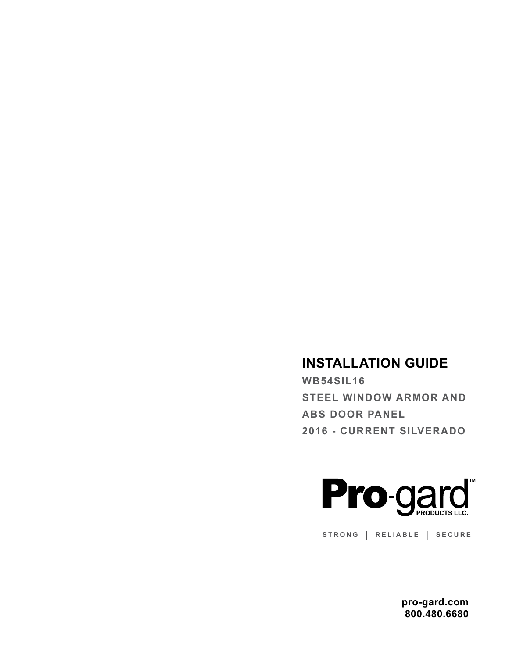# **INSTALLATION GUIDE**

**WB54SIL16 STEEL WINDOW ARMOR AND ABS DOOR PANEL 2016 - CURRENT SILVERADO**



**STRONG | RELIABLE | SECURE**

**pro-gard.com 800.480.6680**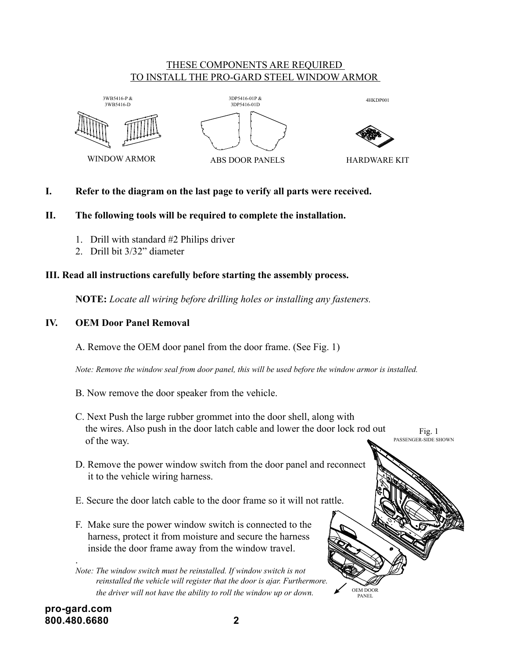# THESE COMPONENTS ARE REQUIRED <u>TO INSTALL THE PRO-GARD STEEL WINDOW ARMOR</u>









ABS DOOR PANELS B B

HARDWARE KIT

OEM DOOR PANEL

# **I. Refer to the diagram on the last page to verify all parts were received.**

# **II. The following tools will be required to complete the installation.**

- 1. Drill with standard  $#2$  Philips driver
- 2. Drill bit 3/32" diameter

#### III. Read all instructions carefully before starting the assembly process.  $\mathbf{u}_\mathbf{S}$  carefully before starting the assem

**NOTE:** Locate all wiring before drilling holes or installing any fasteners.

# **IV. OEM Door Panel Removal**

A. Remove the OEM door panel from the door frame. (See Fig. 1)

 *Note: Remove the window seal from door panel, this will be used before the window armor is installed.*

- B. Now remove the door speaker from the vehicle.
- C. Next Push the large rubber grommet into the door shell, along with the wires. Also push in the door latch cable and lower the door lock rod out of the way. Fig. 1 PASSENGER-SIDE SHOWN
- D. Remove the power window switch from the door panel and reconnect it to the vehicle wiring harness.
- E. Secure the door latch cable to the door frame so it will not rattle.
- F. Make sure the power window switch is connected to the harness, protect it from moisture and secure the harness inside the door frame away from the window travel.

 *Note: The window switch must be reinstalled. If window switch is not reinstalled the vehicle will register that the door is ajar. Furthermore. the driver will not have the ability to roll the window up or down.*

**pro-gard.com 800.480.6680 2**

.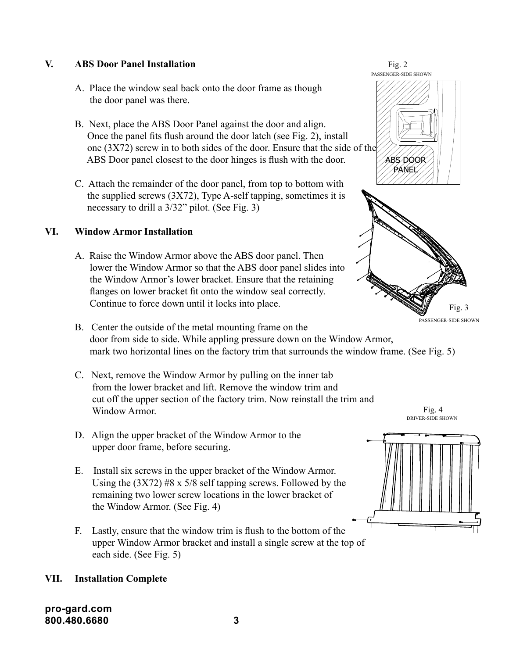# **V. ABS Door Panel Installation**

- A. Place the window seal back onto the door frame as though the door panel was there.
- B. Next, place the ABS Door Panel against the door and align. Once the panel fits flush around the door latch (see Fig. 2), install one (3X72) screw in to both sides of the door. Ensure that the side of the ABS Door panel closest to the door hinges is flush with the door.
- C. Attach the remainder of the door panel, from top to bottom with the supplied screws  $(3X72)$ , Type A-self tapping, sometimes it is necessary to drill a 3/32" pilot. (See Fig. 3)

# **VI. Window Armor Installation**

- A. Raise the Window Armor above the ABS door panel. Then lower the Window Armor so that the ABS door panel slides into the Window Armor's lower bracket. Ensure that the retaining flanges on lower bracket fit onto the window seal correctly. Continue to force down until it locks into place.
- B. Center the outside of the metal mounting frame on the door from side to side. While appling pressure down on the Window Armor, mark two horizontal lines on the factory trim that surrounds the window frame. (See Fig. 5)
- C. Next, remove the Window Armor by pulling on the inner tab from the lower bracket and lift. Remove the window trim and cut off the upper section of the factory trim. Now reinstall the trim and Window Armor.
- D. Align the upper bracket of the Window Armor to the upper door frame, before securing.
- E. Install six screws in the upper bracket of the Window Armor. Using the  $(3X72)$  #8 x 5/8 self tapping screws. Followed by the remaining two lower screw locations in the lower bracket of the Window Armor. (See Fig. 4)
- F. Lastly, ensure that the window trim is flush to the bottom of the upper Window Armor bracket and install a single screw at the top of each side. (See Fig. 5)

# **VII. Installation Complete**

**pro-gard.com 800.480.6680 3**



Fig. 2

PASSENGER-SIDE SHOWN

Fig. 4 DRIVER-SIDE SHOWN